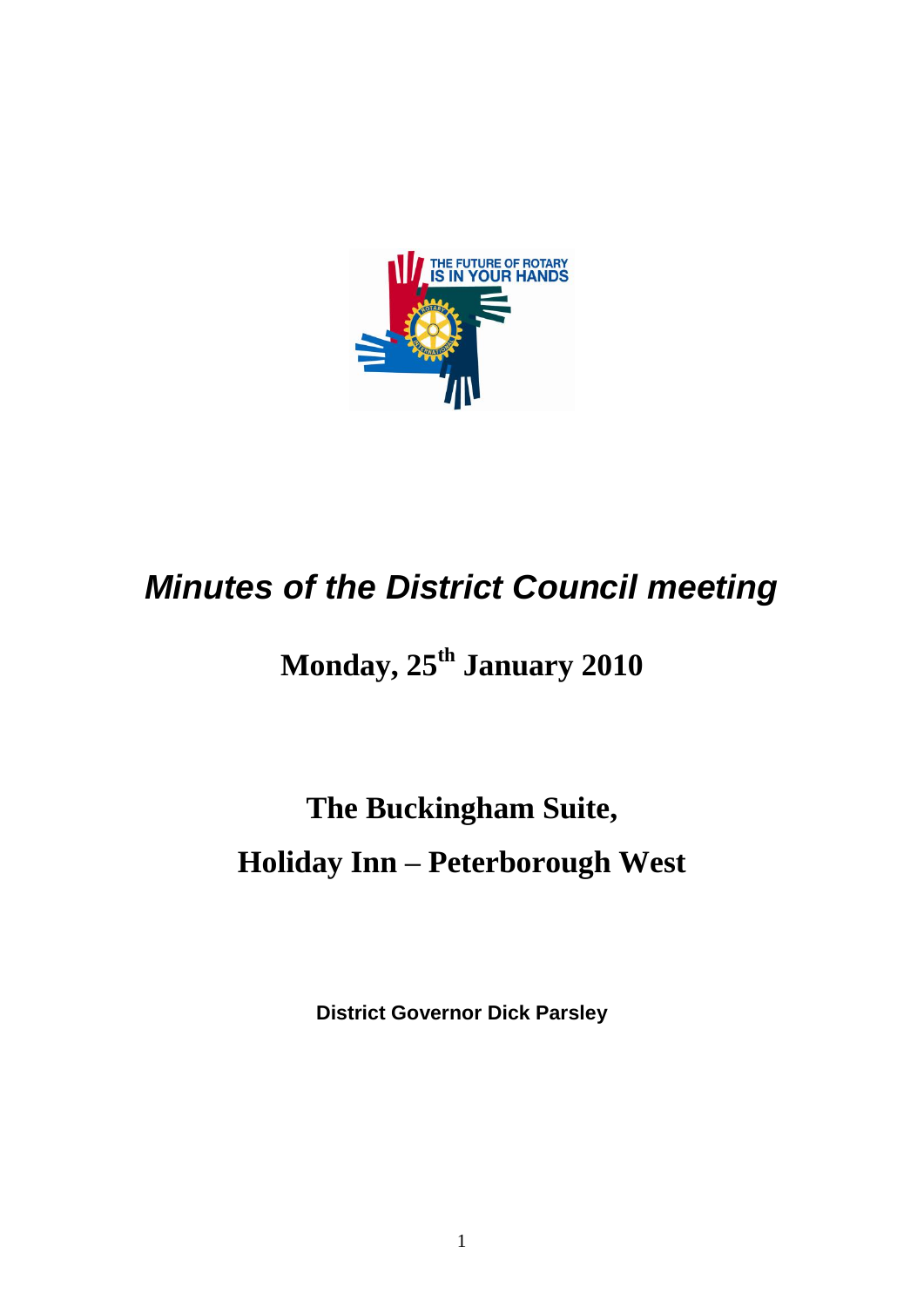

## *Minutes of the District Council meeting*

## **Monday, 25 th January 2010**

# **The Buckingham Suite, Holiday Inn – Peterborough West**

**District Governor Dick Parsley**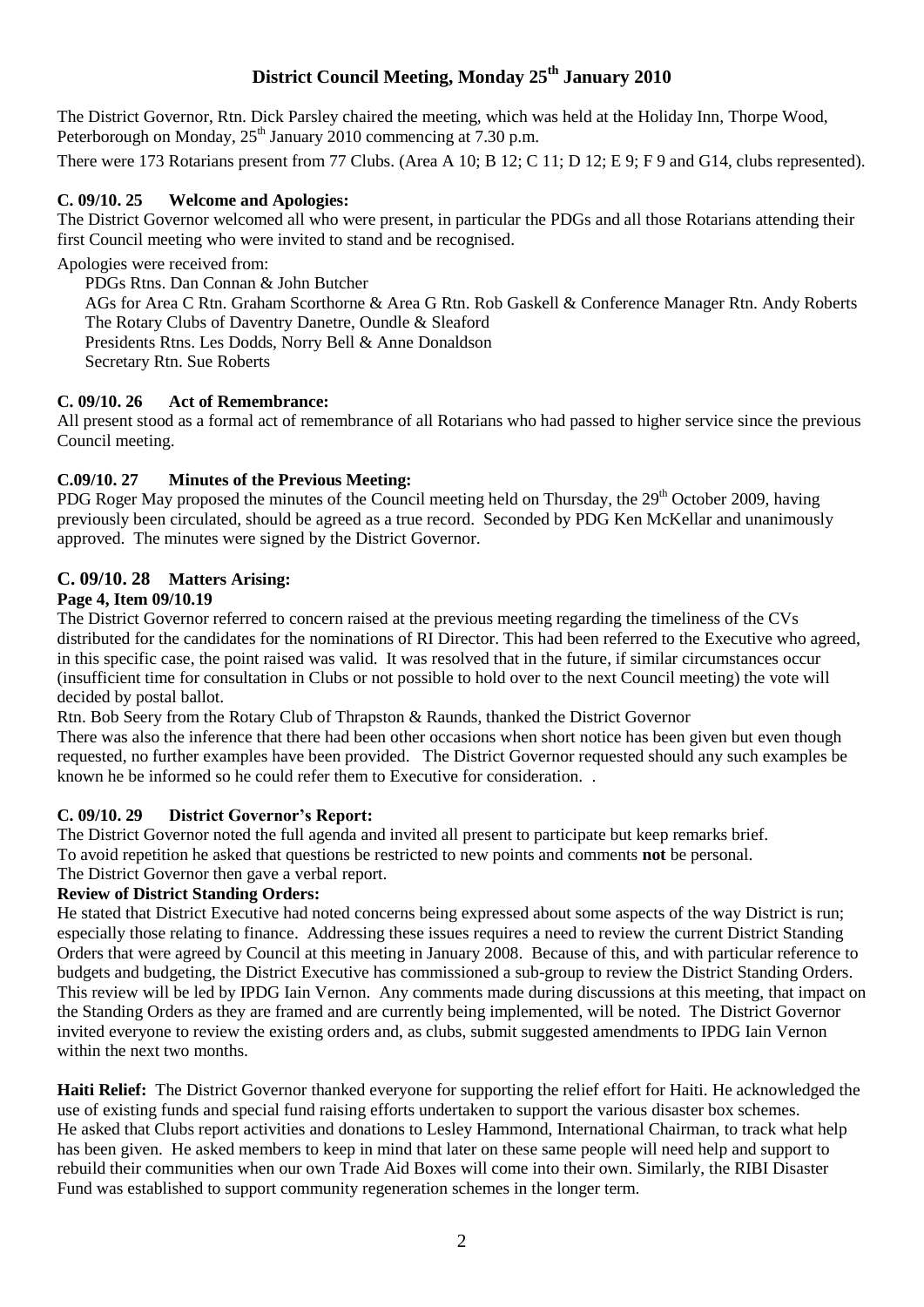## **District Council Meeting, Monday 25 th January 2010**

The District Governor, Rtn. Dick Parsley chaired the meeting, which was held at the Holiday Inn, Thorpe Wood, Peterborough on Monday,  $25^{th}$  January 2010 commencing at 7.30 p.m.

There were 173 Rotarians present from 77 Clubs. (Area A 10; B 12; C 11; D 12; E 9; F 9 and G14, clubs represented).

#### **C. 09/10. 25 Welcome and Apologies:**

The District Governor welcomed all who were present, in particular the PDGs and all those Rotarians attending their first Council meeting who were invited to stand and be recognised.

Apologies were received from:

PDGs Rtns. Dan Connan & John Butcher AGs for Area C Rtn. Graham Scorthorne & Area G Rtn. Rob Gaskell & Conference Manager Rtn. Andy Roberts The Rotary Clubs of Daventry Danetre, Oundle & Sleaford Presidents Rtns. Les Dodds, Norry Bell & Anne Donaldson Secretary Rtn. Sue Roberts

#### **C. 09/10. 26 Act of Remembrance:**

All present stood as a formal act of remembrance of all Rotarians who had passed to higher service since the previous Council meeting.

#### **C.09/10. 27 Minutes of the Previous Meeting:**

PDG Roger May proposed the minutes of the Council meeting held on Thursday, the 29<sup>th</sup> October 2009, having previously been circulated, should be agreed as a true record. Seconded by PDG Ken McKellar and unanimously approved. The minutes were signed by the District Governor.

## **C. 09/10. 28 Matters Arising:**

#### **Page 4, Item 09/10.19**

The District Governor referred to concern raised at the previous meeting regarding the timeliness of the CVs distributed for the candidates for the nominations of RI Director. This had been referred to the Executive who agreed, in this specific case, the point raised was valid. It was resolved that in the future, if similar circumstances occur (insufficient time for consultation in Clubs or not possible to hold over to the next Council meeting) the vote will decided by postal ballot.

Rtn. Bob Seery from the Rotary Club of Thrapston & Raunds, thanked the District Governor There was also the inference that there had been other occasions when short notice has been given but even though requested, no further examples have been provided. The District Governor requested should any such examples be known he be informed so he could refer them to Executive for consideration. .

#### **C. 09/10. 29 District Governor's Report:**

The District Governor noted the full agenda and invited all present to participate but keep remarks brief. To avoid repetition he asked that questions be restricted to new points and comments **not** be personal. The District Governor then gave a verbal report.

#### **Review of District Standing Orders:**

He stated that District Executive had noted concerns being expressed about some aspects of the way District is run; especially those relating to finance. Addressing these issues requires a need to review the current District Standing Orders that were agreed by Council at this meeting in January 2008. Because of this, and with particular reference to budgets and budgeting, the District Executive has commissioned a sub-group to review the District Standing Orders. This review will be led by IPDG Iain Vernon. Any comments made during discussions at this meeting, that impact on the Standing Orders as they are framed and are currently being implemented, will be noted. The District Governor invited everyone to review the existing orders and, as clubs, submit suggested amendments to IPDG Iain Vernon within the next two months.

**Haiti Relief:** The District Governor thanked everyone for supporting the relief effort for Haiti. He acknowledged the use of existing funds and special fund raising efforts undertaken to support the various disaster box schemes. He asked that Clubs report activities and donations to Lesley Hammond, International Chairman, to track what help has been given. He asked members to keep in mind that later on these same people will need help and support to rebuild their communities when our own Trade Aid Boxes will come into their own. Similarly, the RIBI Disaster Fund was established to support community regeneration schemes in the longer term.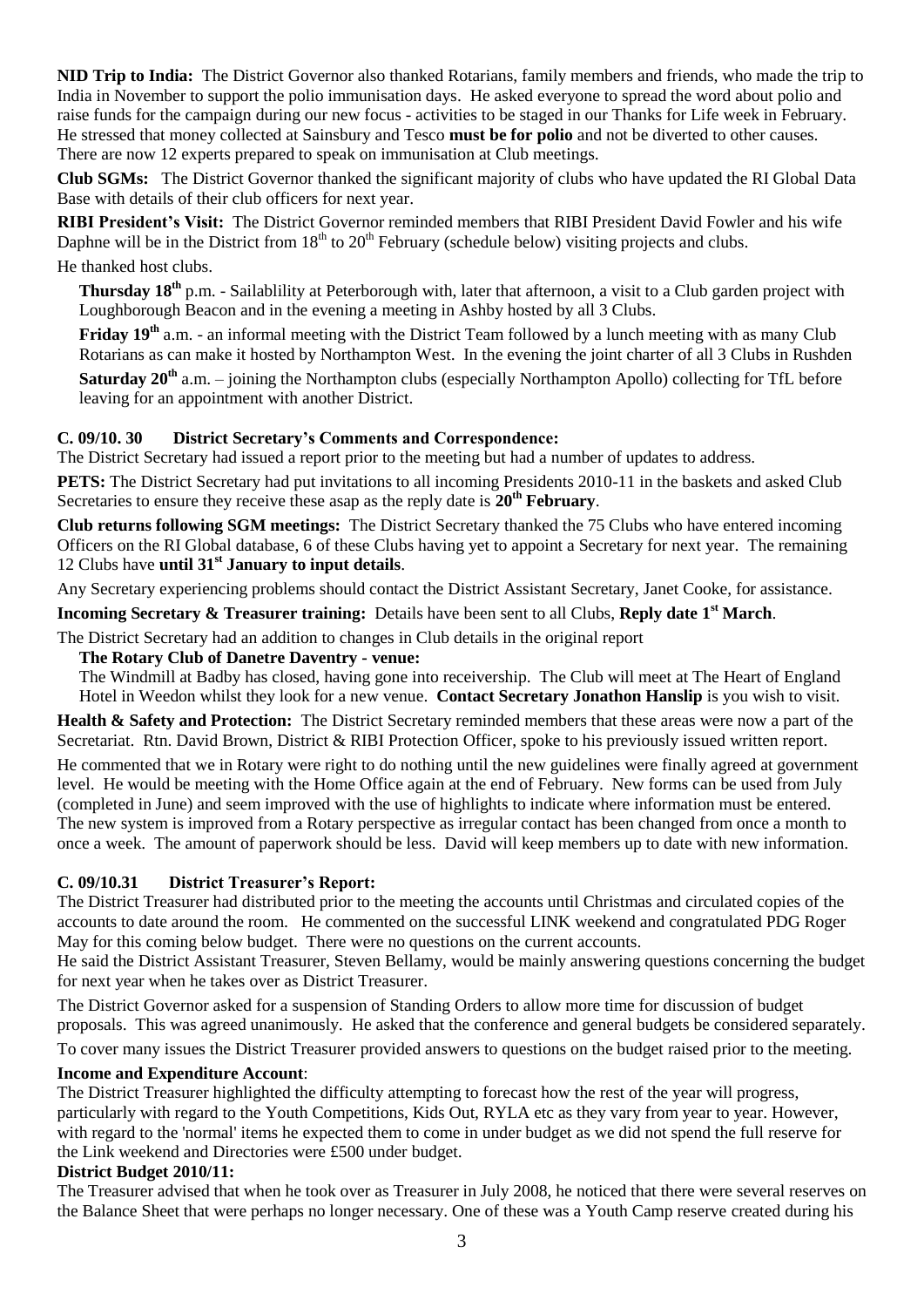**NID Trip to India:** The District Governor also thanked Rotarians, family members and friends, who made the trip to India in November to support the polio immunisation days. He asked everyone to spread the word about polio and raise funds for the campaign during our new focus - activities to be staged in our Thanks for Life week in February. He stressed that money collected at Sainsbury and Tesco **must be for polio** and not be diverted to other causes. There are now 12 experts prepared to speak on immunisation at Club meetings.

**Club SGMs:** The District Governor thanked the significant majority of clubs who have updated the RI Global Data Base with details of their club officers for next year.

**RIBI President's Visit:** The District Governor reminded members that RIBI President David Fowler and his wife Daphne will be in the District from  $18<sup>th</sup>$  to  $20<sup>th</sup>$  February (schedule below) visiting projects and clubs. He thanked host clubs.

**Thursday 18th** p.m. - Sailablility at Peterborough with, later that afternoon, a visit to a Club garden project with Loughborough Beacon and in the evening a meeting in Ashby hosted by all 3 Clubs.

**Friday 19th** a.m. - an informal meeting with the District Team followed by a lunch meeting with as many Club Rotarians as can make it hosted by Northampton West. In the evening the joint charter of all 3 Clubs in Rushden

**Saturday 20th** a.m. – joining the Northampton clubs (especially Northampton Apollo) collecting for TfL before leaving for an appointment with another District.

## **C. 09/10. 30 District Secretary's Comments and Correspondence:**

The District Secretary had issued a report prior to the meeting but had a number of updates to address.

**PETS:** The District Secretary had put invitations to all incoming Presidents 2010-11 in the baskets and asked Club Secretaries to ensure they receive these asap as the reply date is **20th February**.

**Club returns following SGM meetings:** The District Secretary thanked the 75 Clubs who have entered incoming Officers on the RI Global database, 6 of these Clubs having yet to appoint a Secretary for next year. The remaining 12 Clubs have **until 31st January to input details**.

Any Secretary experiencing problems should contact the District Assistant Secretary, Janet Cooke, for assistance.

**Incoming Secretary & Treasurer training:** Details have been sent to all Clubs, **Reply date 1st March**.

The District Secretary had an addition to changes in Club details in the original report

#### **The Rotary Club of Danetre Daventry - venue:**

The Windmill at Badby has closed, having gone into receivership. The Club will meet at The Heart of England Hotel in Weedon whilst they look for a new venue. **Contact Secretary Jonathon Hanslip** is you wish to visit.

**Health & Safety and Protection:** The District Secretary reminded members that these areas were now a part of the Secretariat. Rtn. David Brown, District & RIBI Protection Officer, spoke to his previously issued written report.

He commented that we in Rotary were right to do nothing until the new guidelines were finally agreed at government level. He would be meeting with the Home Office again at the end of February. New forms can be used from July (completed in June) and seem improved with the use of highlights to indicate where information must be entered. The new system is improved from a Rotary perspective as irregular contact has been changed from once a month to once a week. The amount of paperwork should be less. David will keep members up to date with new information.

## **C. 09/10.31 District Treasurer's Report:**

The District Treasurer had distributed prior to the meeting the accounts until Christmas and circulated copies of the accounts to date around the room. He commented on the successful LINK weekend and congratulated PDG Roger May for this coming below budget. There were no questions on the current accounts.

He said the District Assistant Treasurer, Steven Bellamy, would be mainly answering questions concerning the budget for next year when he takes over as District Treasurer.

The District Governor asked for a suspension of Standing Orders to allow more time for discussion of budget proposals. This was agreed unanimously. He asked that the conference and general budgets be considered separately.

To cover many issues the District Treasurer provided answers to questions on the budget raised prior to the meeting.

## **Income and Expenditure Account**:

The District Treasurer highlighted the difficulty attempting to forecast how the rest of the year will progress, particularly with regard to the Youth Competitions, Kids Out, RYLA etc as they vary from year to year. However, with regard to the 'normal' items he expected them to come in under budget as we did not spend the full reserve for the Link weekend and Directories were £500 under budget.

## **District Budget 2010/11:**

The Treasurer advised that when he took over as Treasurer in July 2008, he noticed that there were several reserves on the Balance Sheet that were perhaps no longer necessary. One of these was a Youth Camp reserve created during his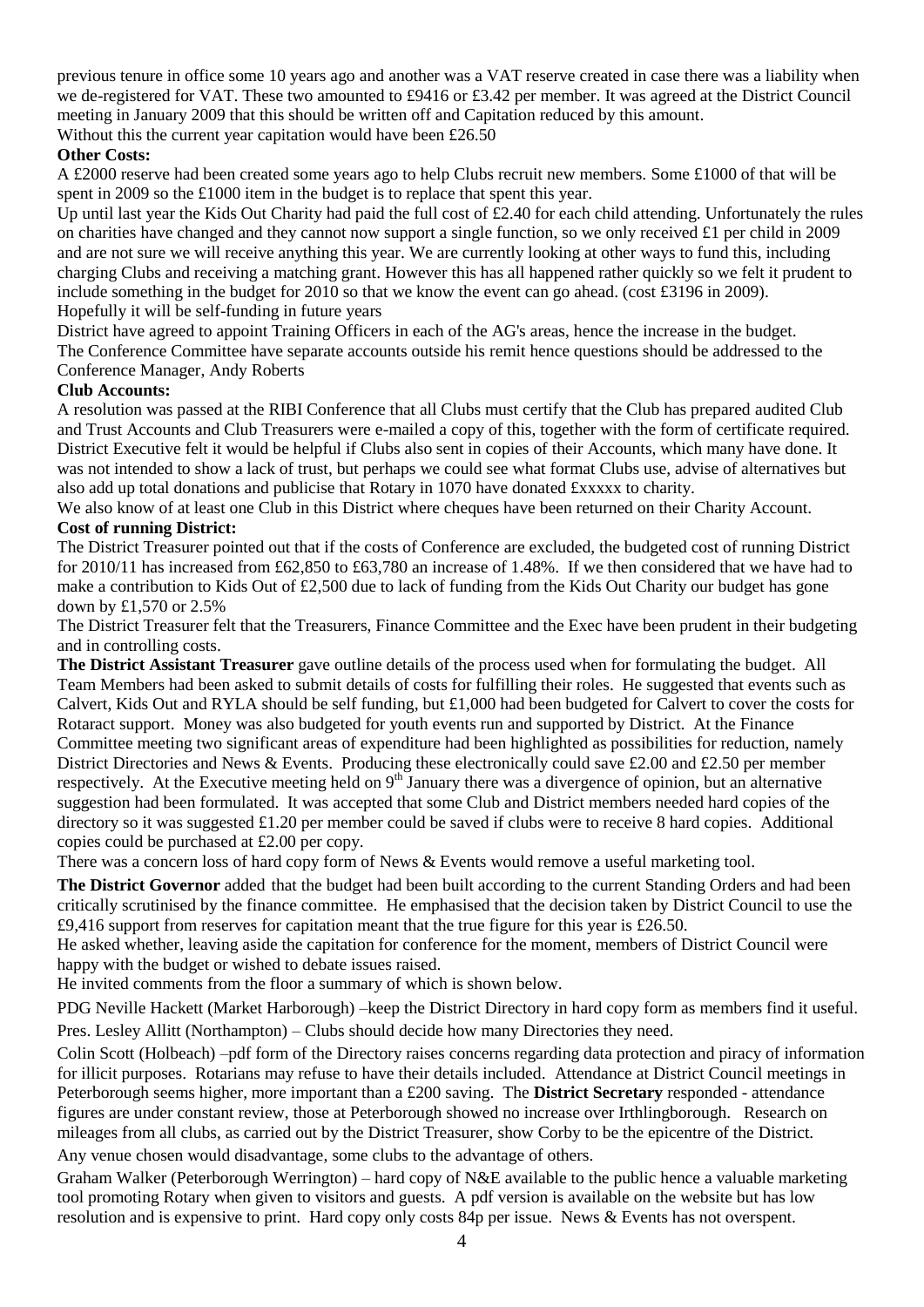previous tenure in office some 10 years ago and another was a VAT reserve created in case there was a liability when we de-registered for VAT. These two amounted to £9416 or £3.42 per member. It was agreed at the District Council meeting in January 2009 that this should be written off and Capitation reduced by this amount.

## Without this the current year capitation would have been £26.50

#### **Other Costs:**

A £2000 reserve had been created some years ago to help Clubs recruit new members. Some £1000 of that will be spent in 2009 so the £1000 item in the budget is to replace that spent this year.

Up until last year the Kids Out Charity had paid the full cost of  $\pounds$ 2.40 for each child attending. Unfortunately the rules on charities have changed and they cannot now support a single function, so we only received £1 per child in 2009 and are not sure we will receive anything this year. We are currently looking at other ways to fund this, including charging Clubs and receiving a matching grant. However this has all happened rather quickly so we felt it prudent to include something in the budget for 2010 so that we know the event can go ahead. (cost £3196 in 2009). Hopefully it will be self-funding in future years

District have agreed to appoint Training Officers in each of the AG's areas, hence the increase in the budget. The Conference Committee have separate accounts outside his remit hence questions should be addressed to the Conference Manager, Andy Roberts

#### **Club Accounts:**

A resolution was passed at the RIBI Conference that all Clubs must certify that the Club has prepared audited Club and Trust Accounts and Club Treasurers were e-mailed a copy of this, together with the form of certificate required. District Executive felt it would be helpful if Clubs also sent in copies of their Accounts, which many have done. It was not intended to show a lack of trust, but perhaps we could see what format Clubs use, advise of alternatives but also add up total donations and publicise that Rotary in 1070 have donated £xxxxx to charity.

We also know of at least one Club in this District where cheques have been returned on their Charity Account. **Cost of running District:**

The District Treasurer pointed out that if the costs of Conference are excluded, the budgeted cost of running District for 2010/11 has increased from £62,850 to £63,780 an increase of 1.48%. If we then considered that we have had to make a contribution to Kids Out of £2,500 due to lack of funding from the Kids Out Charity our budget has gone down by £1,570 or 2.5%

The District Treasurer felt that the Treasurers, Finance Committee and the Exec have been prudent in their budgeting and in controlling costs.

**The District Assistant Treasurer** gave outline details of the process used when for formulating the budget. All Team Members had been asked to submit details of costs for fulfilling their roles. He suggested that events such as Calvert, Kids Out and RYLA should be self funding, but £1,000 had been budgeted for Calvert to cover the costs for Rotaract support. Money was also budgeted for youth events run and supported by District. At the Finance Committee meeting two significant areas of expenditure had been highlighted as possibilities for reduction, namely District Directories and News & Events. Producing these electronically could save £2.00 and £2.50 per member respectively. At the Executive meeting held on  $9<sup>th</sup>$  January there was a divergence of opinion, but an alternative suggestion had been formulated. It was accepted that some Club and District members needed hard copies of the directory so it was suggested £1.20 per member could be saved if clubs were to receive 8 hard copies. Additional copies could be purchased at £2.00 per copy.

There was a concern loss of hard copy form of News & Events would remove a useful marketing tool.

**The District Governor** added that the budget had been built according to the current Standing Orders and had been critically scrutinised by the finance committee. He emphasised that the decision taken by District Council to use the £9,416 support from reserves for capitation meant that the true figure for this year is £26.50.

He asked whether, leaving aside the capitation for conference for the moment, members of District Council were happy with the budget or wished to debate issues raised.

He invited comments from the floor a summary of which is shown below.

PDG Neville Hackett (Market Harborough) –keep the District Directory in hard copy form as members find it useful. Pres. Lesley Allitt (Northampton) – Clubs should decide how many Directories they need.

Colin Scott (Holbeach) –pdf form of the Directory raises concerns regarding data protection and piracy of information for illicit purposes. Rotarians may refuse to have their details included. Attendance at District Council meetings in Peterborough seems higher, more important than a £200 saving. The **District Secretary** responded - attendance figures are under constant review, those at Peterborough showed no increase over Irthlingborough. Research on mileages from all clubs, as carried out by the District Treasurer, show Corby to be the epicentre of the District. Any venue chosen would disadvantage, some clubs to the advantage of others.

Graham Walker (Peterborough Werrington) – hard copy of N&E available to the public hence a valuable marketing tool promoting Rotary when given to visitors and guests. A pdf version is available on the website but has low resolution and is expensive to print. Hard copy only costs 84p per issue. News & Events has not overspent.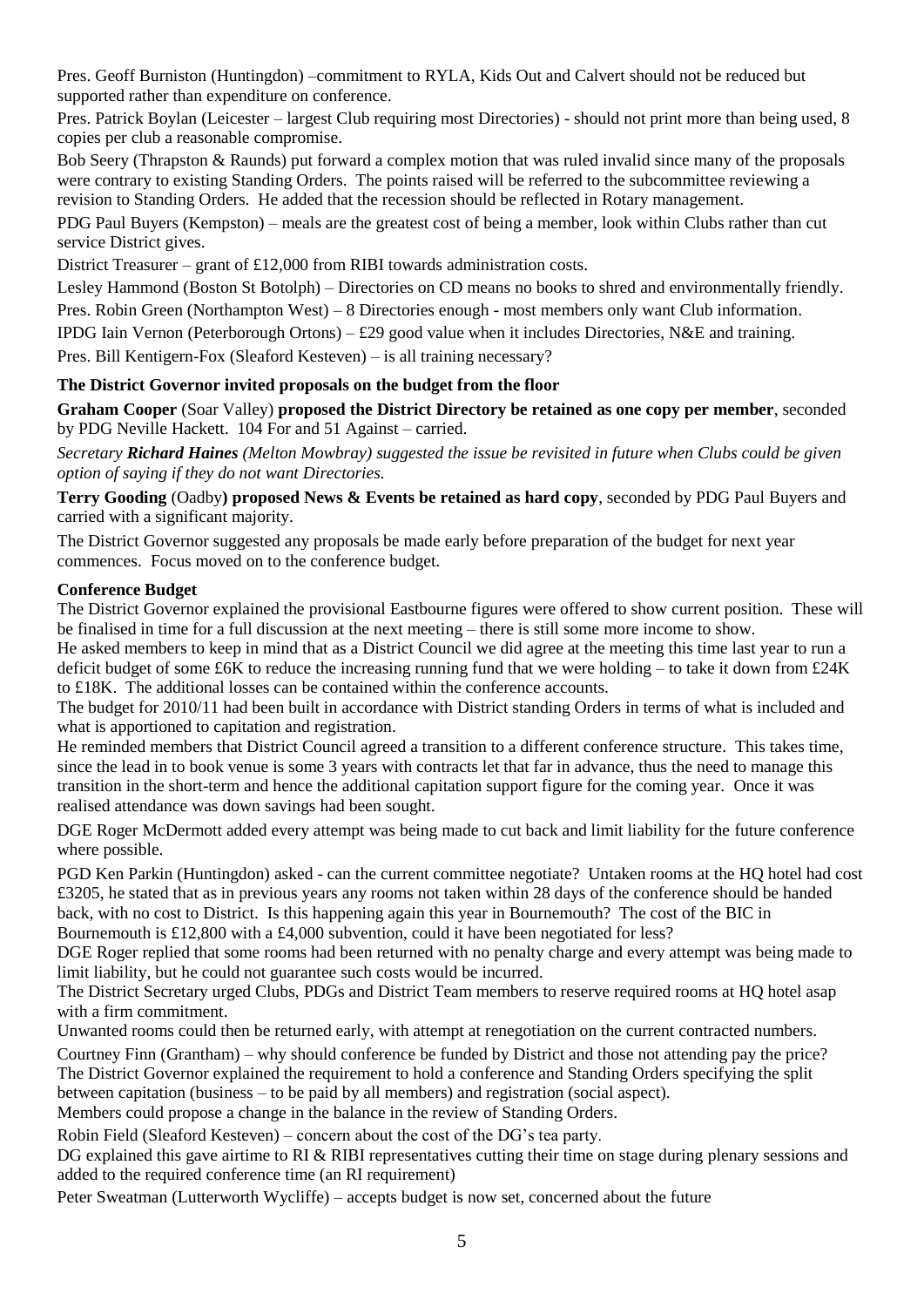Pres. Geoff Burniston (Huntingdon) –commitment to RYLA, Kids Out and Calvert should not be reduced but supported rather than expenditure on conference.

Pres. Patrick Boylan (Leicester – largest Club requiring most Directories) - should not print more than being used, 8 copies per club a reasonable compromise.

Bob Seery (Thrapston & Raunds) put forward a complex motion that was ruled invalid since many of the proposals were contrary to existing Standing Orders. The points raised will be referred to the subcommittee reviewing a revision to Standing Orders. He added that the recession should be reflected in Rotary management.

PDG Paul Buyers (Kempston) – meals are the greatest cost of being a member, look within Clubs rather than cut service District gives.

District Treasurer – grant of £12,000 from RIBI towards administration costs.

Lesley Hammond (Boston St Botolph) – Directories on CD means no books to shred and environmentally friendly.

Pres. Robin Green (Northampton West) – 8 Directories enough - most members only want Club information.

IPDG Iain Vernon (Peterborough Ortons) – £29 good value when it includes Directories, N&E and training.

Pres. Bill Kentigern-Fox (Sleaford Kesteven) – is all training necessary?

#### **The District Governor invited proposals on the budget from the floor**

**Graham Cooper** (Soar Valley) **proposed the District Directory be retained as one copy per member**, seconded by PDG Neville Hackett. 104 For and 51 Against – carried.

*Secretary Richard Haines (Melton Mowbray) suggested the issue be revisited in future when Clubs could be given option of saying if they do not want Directories.*

**Terry Gooding** (Oadby**) proposed News & Events be retained as hard copy**, seconded by PDG Paul Buyers and carried with a significant majority.

The District Governor suggested any proposals be made early before preparation of the budget for next year commences. Focus moved on to the conference budget.

#### **Conference Budget**

The District Governor explained the provisional Eastbourne figures were offered to show current position. These will be finalised in time for a full discussion at the next meeting – there is still some more income to show.

He asked members to keep in mind that as a District Council we did agree at the meeting this time last year to run a deficit budget of some £6K to reduce the increasing running fund that we were holding – to take it down from  $\text{\pounds}24\text{K}$ to £18K. The additional losses can be contained within the conference accounts.

The budget for 2010/11 had been built in accordance with District standing Orders in terms of what is included and what is apportioned to capitation and registration.

He reminded members that District Council agreed a transition to a different conference structure. This takes time, since the lead in to book venue is some 3 years with contracts let that far in advance, thus the need to manage this transition in the short-term and hence the additional capitation support figure for the coming year. Once it was realised attendance was down savings had been sought.

DGE Roger McDermott added every attempt was being made to cut back and limit liability for the future conference where possible.

PGD Ken Parkin (Huntingdon) asked - can the current committee negotiate? Untaken rooms at the HQ hotel had cost £3205, he stated that as in previous years any rooms not taken within 28 days of the conference should be handed back, with no cost to District. Is this happening again this year in Bournemouth? The cost of the BIC in Bournemouth is £12,800 with a £4,000 subvention, could it have been negotiated for less?

DGE Roger replied that some rooms had been returned with no penalty charge and every attempt was being made to limit liability, but he could not guarantee such costs would be incurred.

The District Secretary urged Clubs, PDGs and District Team members to reserve required rooms at HQ hotel asap with a firm commitment.

Unwanted rooms could then be returned early, with attempt at renegotiation on the current contracted numbers. Courtney Finn (Grantham) – why should conference be funded by District and those not attending pay the price? The District Governor explained the requirement to hold a conference and Standing Orders specifying the split between capitation (business – to be paid by all members) and registration (social aspect). Members could propose a change in the balance in the review of Standing Orders.

Robin Field (Sleaford Kesteven) – concern about the cost of the DG's tea party.

DG explained this gave airtime to RI & RIBI representatives cutting their time on stage during plenary sessions and added to the required conference time (an RI requirement)

Peter Sweatman (Lutterworth Wycliffe) – accepts budget is now set, concerned about the future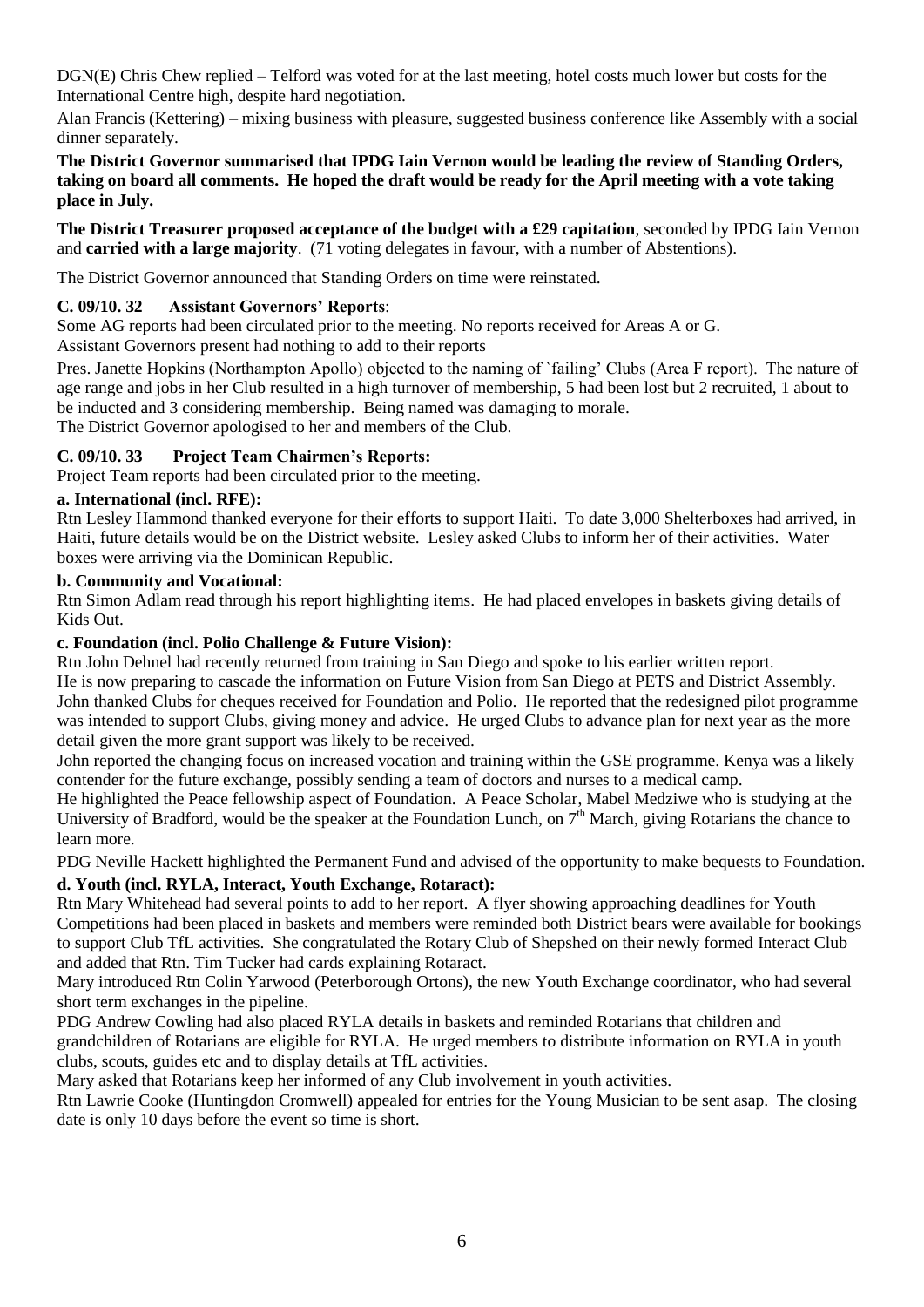DGN(E) Chris Chew replied – Telford was voted for at the last meeting, hotel costs much lower but costs for the International Centre high, despite hard negotiation.

Alan Francis (Kettering) – mixing business with pleasure, suggested business conference like Assembly with a social dinner separately.

#### **The District Governor summarised that IPDG Iain Vernon would be leading the review of Standing Orders, taking on board all comments. He hoped the draft would be ready for the April meeting with a vote taking place in July.**

**The District Treasurer proposed acceptance of the budget with a £29 capitation**, seconded by IPDG Iain Vernon and **carried with a large majority**. (71 voting delegates in favour, with a number of Abstentions).

The District Governor announced that Standing Orders on time were reinstated.

#### **C. 09/10. 32 Assistant Governors' Reports**:

Some AG reports had been circulated prior to the meeting. No reports received for Areas A or G.

Assistant Governors present had nothing to add to their reports

Pres. Janette Hopkins (Northampton Apollo) objected to the naming of `failing' Clubs (Area F report). The nature of age range and jobs in her Club resulted in a high turnover of membership, 5 had been lost but 2 recruited, 1 about to be inducted and 3 considering membership. Being named was damaging to morale.

The District Governor apologised to her and members of the Club.

#### **C. 09/10. 33 Project Team Chairmen's Reports:**

Project Team reports had been circulated prior to the meeting.

#### **a. International (incl. RFE):**

Rtn Lesley Hammond thanked everyone for their efforts to support Haiti. To date 3,000 Shelterboxes had arrived, in Haiti, future details would be on the District website. Lesley asked Clubs to inform her of their activities. Water boxes were arriving via the Dominican Republic.

#### **b. Community and Vocational:**

Rtn Simon Adlam read through his report highlighting items. He had placed envelopes in baskets giving details of Kids Out.

#### **c. Foundation (incl. Polio Challenge & Future Vision):**

Rtn John Dehnel had recently returned from training in San Diego and spoke to his earlier written report. He is now preparing to cascade the information on Future Vision from San Diego at PETS and District Assembly. John thanked Clubs for cheques received for Foundation and Polio. He reported that the redesigned pilot programme was intended to support Clubs, giving money and advice. He urged Clubs to advance plan for next year as the more detail given the more grant support was likely to be received.

John reported the changing focus on increased vocation and training within the GSE programme. Kenya was a likely contender for the future exchange, possibly sending a team of doctors and nurses to a medical camp.

He highlighted the Peace fellowship aspect of Foundation. A Peace Scholar, Mabel Medziwe who is studying at the University of Bradford, would be the speaker at the Foundation Lunch, on 7<sup>th</sup> March, giving Rotarians the chance to learn more.

PDG Neville Hackett highlighted the Permanent Fund and advised of the opportunity to make bequests to Foundation.

#### **d. Youth (incl. RYLA, Interact, Youth Exchange, Rotaract):**

Rtn Mary Whitehead had several points to add to her report. A flyer showing approaching deadlines for Youth Competitions had been placed in baskets and members were reminded both District bears were available for bookings to support Club TfL activities. She congratulated the Rotary Club of Shepshed on their newly formed Interact Club and added that Rtn. Tim Tucker had cards explaining Rotaract.

Mary introduced Rtn Colin Yarwood (Peterborough Ortons), the new Youth Exchange coordinator, who had several short term exchanges in the pipeline.

PDG Andrew Cowling had also placed RYLA details in baskets and reminded Rotarians that children and grandchildren of Rotarians are eligible for RYLA. He urged members to distribute information on RYLA in youth clubs, scouts, guides etc and to display details at TfL activities.

Mary asked that Rotarians keep her informed of any Club involvement in youth activities.

Rtn Lawrie Cooke (Huntingdon Cromwell) appealed for entries for the Young Musician to be sent asap. The closing date is only 10 days before the event so time is short.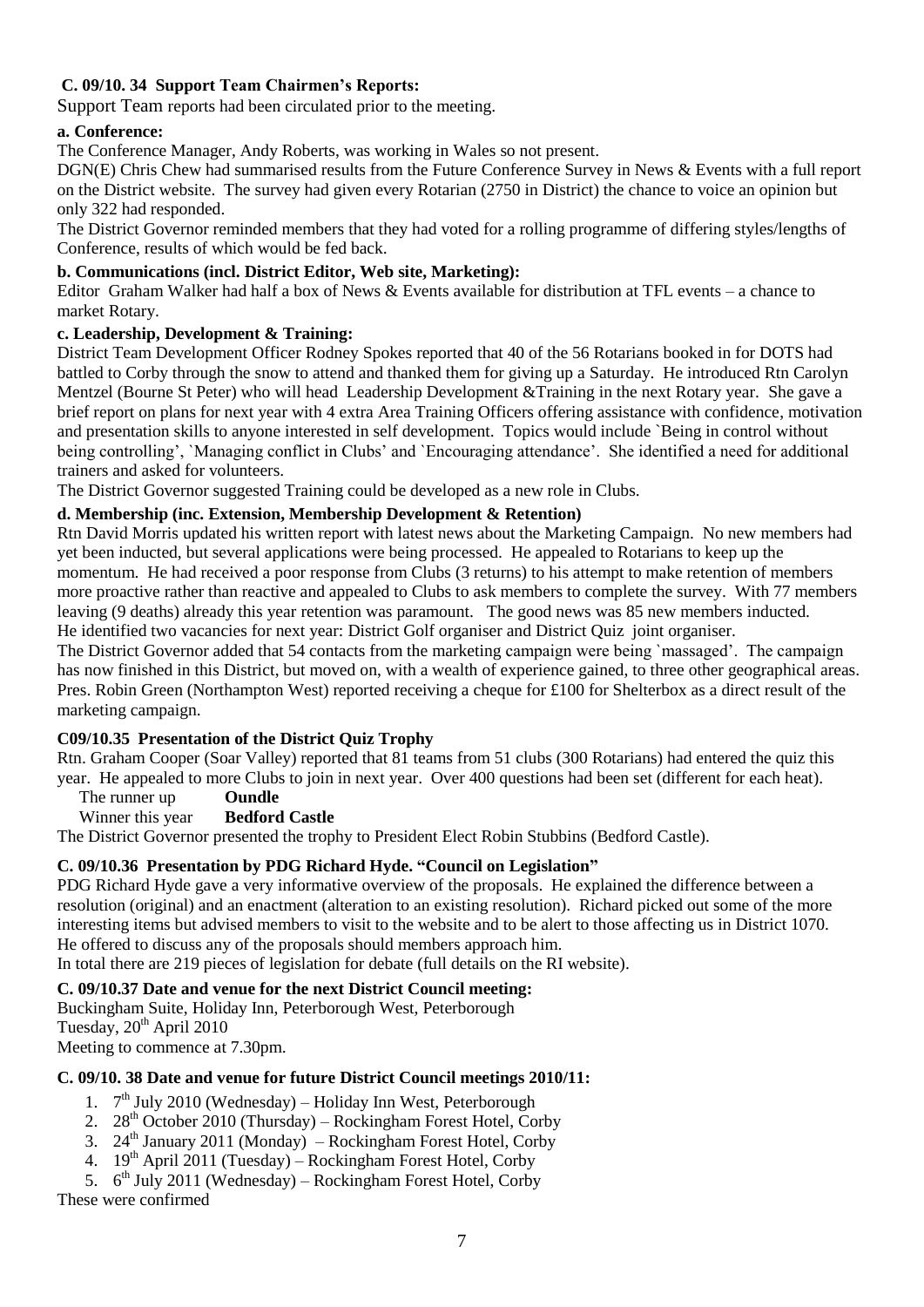## **C. 09/10. 34 Support Team Chairmen's Reports:**

Support Team reports had been circulated prior to the meeting.

#### **a. Conference:**

The Conference Manager, Andy Roberts, was working in Wales so not present.

DGN(E) Chris Chew had summarised results from the Future Conference Survey in News & Events with a full report on the District website. The survey had given every Rotarian (2750 in District) the chance to voice an opinion but only 322 had responded.

The District Governor reminded members that they had voted for a rolling programme of differing styles/lengths of Conference, results of which would be fed back.

#### **b. Communications (incl. District Editor, Web site, Marketing):**

Editor Graham Walker had half a box of News & Events available for distribution at TFL events – a chance to market Rotary.

### **c. Leadership, Development & Training:**

District Team Development Officer Rodney Spokes reported that 40 of the 56 Rotarians booked in for DOTS had battled to Corby through the snow to attend and thanked them for giving up a Saturday. He introduced Rtn Carolyn Mentzel (Bourne St Peter) who will head Leadership Development &Training in the next Rotary year. She gave a brief report on plans for next year with 4 extra Area Training Officers offering assistance with confidence, motivation and presentation skills to anyone interested in self development. Topics would include `Being in control without being controlling', `Managing conflict in Clubs' and `Encouraging attendance'. She identified a need for additional trainers and asked for volunteers.

The District Governor suggested Training could be developed as a new role in Clubs.

## **d. Membership (inc. Extension, Membership Development & Retention)**

Rtn David Morris updated his written report with latest news about the Marketing Campaign. No new members had yet been inducted, but several applications were being processed. He appealed to Rotarians to keep up the momentum. He had received a poor response from Clubs (3 returns) to his attempt to make retention of members more proactive rather than reactive and appealed to Clubs to ask members to complete the survey. With 77 members leaving (9 deaths) already this year retention was paramount. The good news was 85 new members inducted. He identified two vacancies for next year: District Golf organiser and District Quiz joint organiser.

The District Governor added that 54 contacts from the marketing campaign were being `massaged'. The campaign has now finished in this District, but moved on, with a wealth of experience gained, to three other geographical areas. Pres. Robin Green (Northampton West) reported receiving a cheque for £100 for Shelterbox as a direct result of the marketing campaign.

## **C09/10.35 Presentation of the District Quiz Trophy**

Rtn. Graham Cooper (Soar Valley) reported that 81 teams from 51 clubs (300 Rotarians) had entered the quiz this year. He appealed to more Clubs to join in next year. Over 400 questions had been set (different for each heat).

The runner up **Oundle** 

#### Winner this year **Bedford Castle**

The District Governor presented the trophy to President Elect Robin Stubbins (Bedford Castle).

#### **C. 09/10.36 Presentation by PDG Richard Hyde. "Council on Legislation"**

PDG Richard Hyde gave a very informative overview of the proposals. He explained the difference between a resolution (original) and an enactment (alteration to an existing resolution). Richard picked out some of the more interesting items but advised members to visit to the website and to be alert to those affecting us in District 1070. He offered to discuss any of the proposals should members approach him.

In total there are 219 pieces of legislation for debate (full details on the RI website).

#### **C. 09/10.37 Date and venue for the next District Council meeting:**

Buckingham Suite, Holiday Inn, Peterborough West, Peterborough Tuesday,  $20^{th}$  April 2010 Meeting to commence at 7.30pm.

#### **C. 09/10. 38 Date and venue for future District Council meetings 2010/11:**

- 1. 7<sup>th</sup> July 2010 (Wednesday) Holiday Inn West, Peterborough
- 2.  $28<sup>th</sup>$  October 2010 (Thursday) Rockingham Forest Hotel, Corby
- 3. 24<sup>th</sup> January 2011 (Monday) Rockingham Forest Hotel, Corby
- 4.  $19^{th}$  April 2011 (Tuesday) Rockingham Forest Hotel, Corby
- 5.  $6<sup>th</sup> July 2011 (Wednesday) Rockingham Forest Hotel, Corby$ These were confirmed